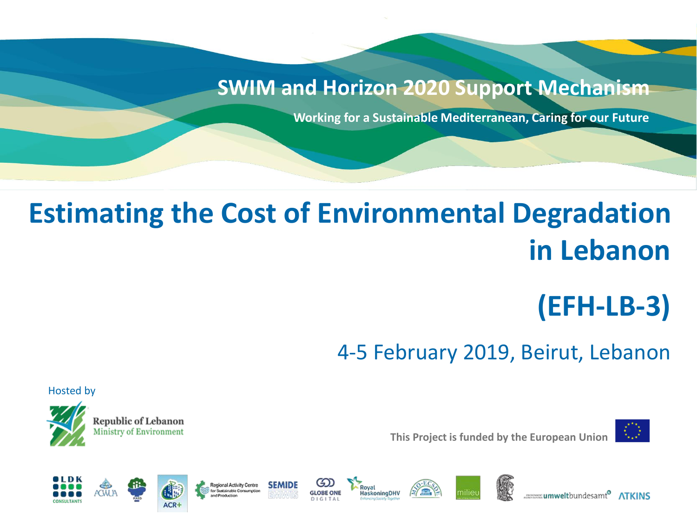#### **SWIM and Horizon 2020 Support Mechanism**

**Working for a Sustainable Mediterranean, Caring for our Future**

## **Estimating the Cost of Environmental Degradation in Lebanon**

## **(EFH-LB-3)**

**umwelt**bundesamt<sup>®</sup>

4-5 February 2019, Beirut, Lebanon



**This Project is funded by the European Union**



Hosted by





































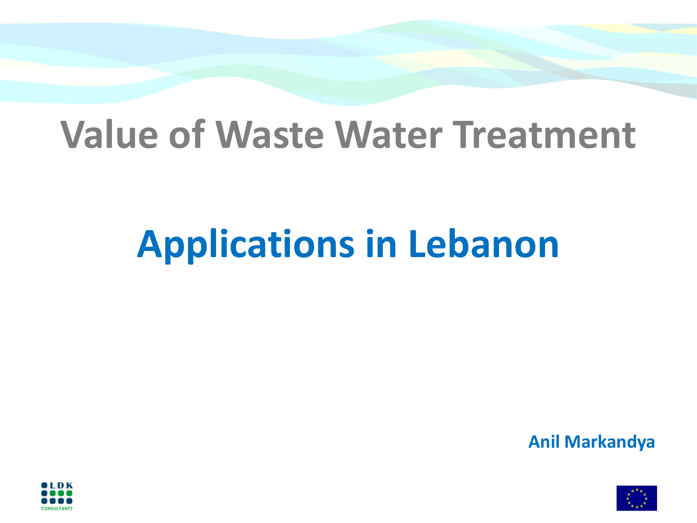# **Value of Waste Water Treatment**

# **Applications in Lebanon**

**Anil Markandya**



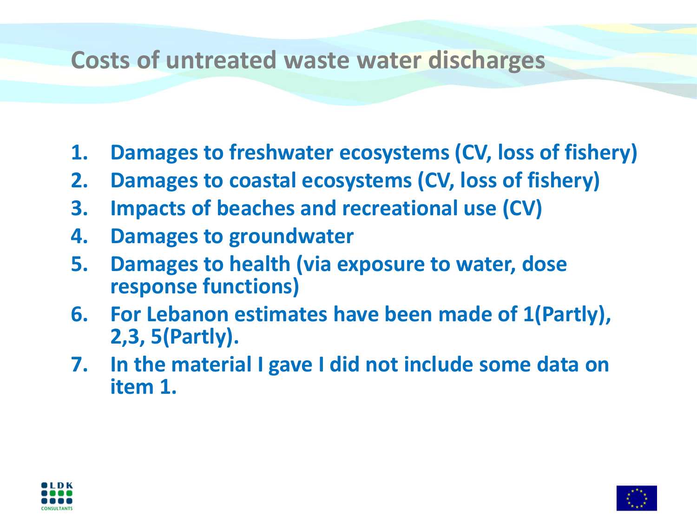#### **Costs of untreated waste water discharges**

- **1. Damages to freshwater ecosystems (CV, loss of fishery)**
- **2. Damages to coastal ecosystems (CV, loss of fishery)**
- **3. Impacts of beaches and recreational use (CV)**
- **4. Damages to groundwater**
- **5. Damages to health (via exposure to water, dose response functions)**
- **6. For Lebanon estimates have been made of 1(Partly), 2,3, 5(Partly).**
- **7. In the material I gave I did not include some data on item 1.**



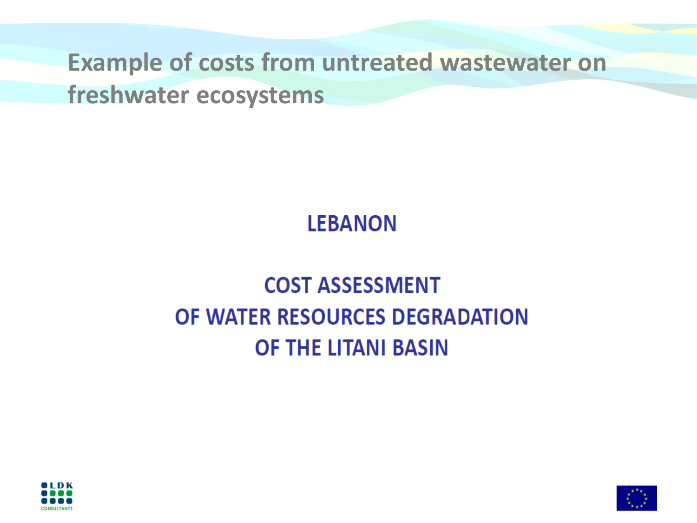**Example of costs from untreated wastewater on** 

**freshwater ecosystems**

**LEBANON** 

## **COST ASSESSMENT** OF WATER RESOURCES DEGRADATION **OF THE LITANI BASIN**



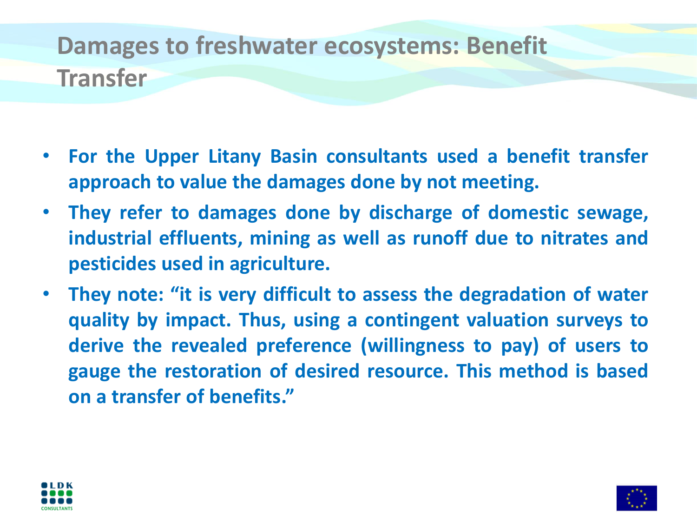## **Damages to freshwater ecosystems: Benefit Transfer**

- **For the Upper Litany Basin consultants used a benefit transfer approach to value the damages done by not meeting.**
- **They refer to damages done by discharge of domestic sewage, industrial effluents, mining as well as runoff due to nitrates and pesticides used in agriculture.**
- **They note: "it is very difficult to assess the degradation of water quality by impact. Thus, using a contingent valuation surveys to derive the revealed preference (willingness to pay) of users to gauge the restoration of desired resource. This method is based on a transfer of benefits."**



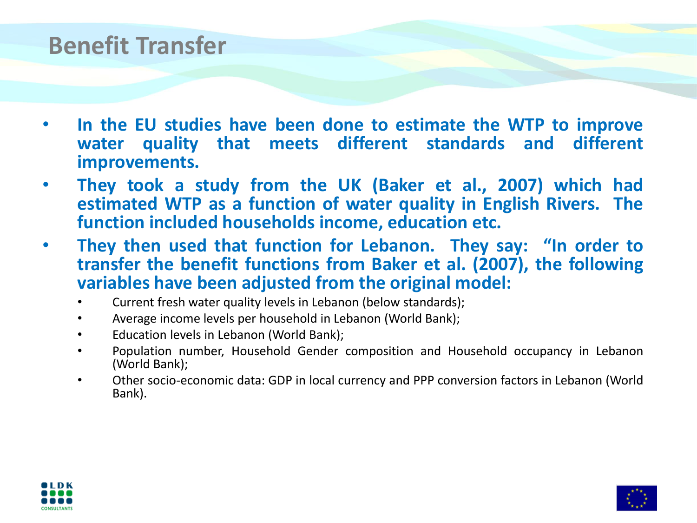#### **Benefit Transfer**

- **In the EU studies have been done to estimate the WTP to improve water quality that meets different standards and different improvements.**
- **They took a study from the UK (Baker et al., 2007) which had estimated WTP as a function of water quality in English Rivers. The function included households income, education etc.**
- **They then used that function for Lebanon. They say: "In order to transfer the benefit functions from Baker et al. (2007), the following variables have been adjusted from the original model:**
	- Current fresh water quality levels in Lebanon (below standards);
	- Average income levels per household in Lebanon (World Bank);
	- Education levels in Lebanon (World Bank);
	- Population number, Household Gender composition and Household occupancy in Lebanon (World Bank);
	- Other socio-economic data: GDP in local currency and PPP conversion factors in Lebanon (World Bank).



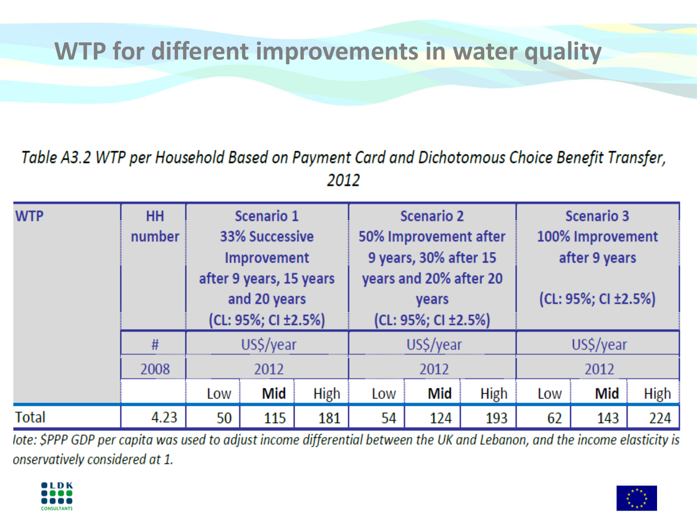### **WTP for different improvements in water quality**

#### Table A3.2 WTP per Household Based on Payment Card and Dichotomous Choice Benefit Transfer, 2012

| <b>WTP</b> | <b>HH</b><br>number | Scenario 1<br><b>33% Successive</b><br><b>Improvement</b><br>after 9 years, 15 years<br>and 20 years<br>(CL: 95%; CI ±2.5%) |     |      | <b>Scenario 2</b><br>50% Improvement after<br>9 years, 30% after 15<br>years and 20% after 20<br>years<br>(CL: 95%; CI ±2.5%) |     |      | <b>Scenario 3</b><br>100% Improvement<br>after 9 years<br>(CL: 95%; CI ±2.5%) |     |      |
|------------|---------------------|-----------------------------------------------------------------------------------------------------------------------------|-----|------|-------------------------------------------------------------------------------------------------------------------------------|-----|------|-------------------------------------------------------------------------------|-----|------|
|            | #                   | US\$/year                                                                                                                   |     |      | US\$/year                                                                                                                     |     |      | US\$/year                                                                     |     |      |
|            | 2008                | 2012                                                                                                                        |     |      | 2012                                                                                                                          |     |      | 2012                                                                          |     |      |
|            |                     | Low                                                                                                                         | Mid | High | Low                                                                                                                           | Mid | High | Low                                                                           | Mid | High |
| Total      | 4.23                | 50                                                                                                                          | 115 | 181  | 54                                                                                                                            | 124 | 193  | 62                                                                            | 143 | 224  |

lote: \$PPP GDP per capita was used to adjust income differential between the UK and Lebanon, and the income elasticity is onservatively considered at 1.



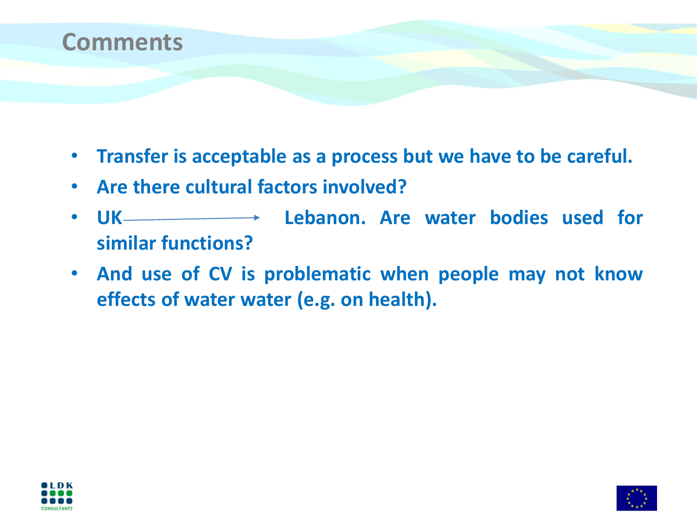

- **Transfer is acceptable as a process but we have to be careful.**
- **Are there cultural factors involved?**
- **UK Lebanon. Are water bodies used for similar functions?**
- **And use of CV is problematic when people may not know effects of water water (e.g. on health).**